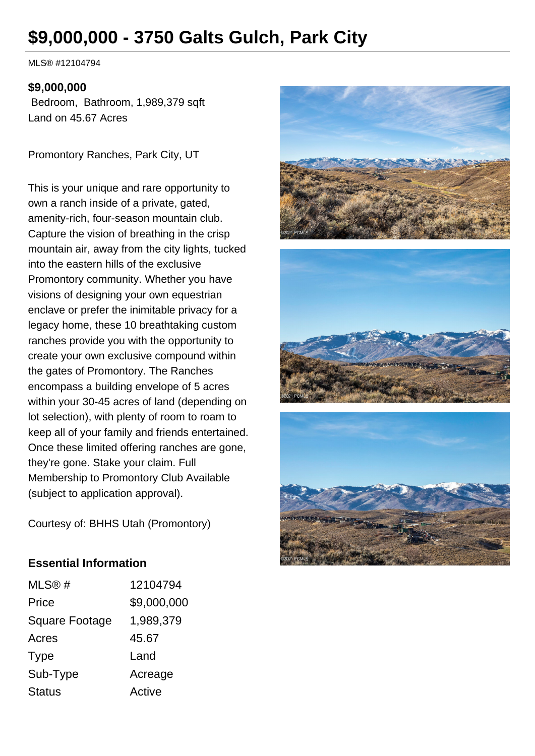# **\$9,000,000 - 3750 Galts Gulch, Park City**

MLS® #12104794

#### **\$9,000,000**

 Bedroom, Bathroom, 1,989,379 sqft Land on 45.67 Acres

Promontory Ranches, Park City, UT

This is your unique and rare opportunity to own a ranch inside of a private, gated, amenity-rich, four-season mountain club. Capture the vision of breathing in the crisp mountain air, away from the city lights, tucked into the eastern hills of the exclusive Promontory community. Whether you have visions of designing your own equestrian enclave or prefer the inimitable privacy for a legacy home, these 10 breathtaking custom ranches provide you with the opportunity to create your own exclusive compound within the gates of Promontory. The Ranches encompass a building envelope of 5 acres within your 30-45 acres of land (depending on lot selection), with plenty of room to roam to keep all of your family and friends entertained. Once these limited offering ranches are gone, they're gone. Stake your claim. Full Membership to Promontory Club Available (subject to application approval).



Courtesy of: BHHS Utah (Promontory)

# **Essential Information**

| MLS@#                 | 12104794    |
|-----------------------|-------------|
| Price                 | \$9,000,000 |
| <b>Square Footage</b> | 1,989,379   |
| Acres                 | 45.67       |
| Type                  | Land        |
| Sub-Type              | Acreage     |
| <b>Status</b>         | Active      |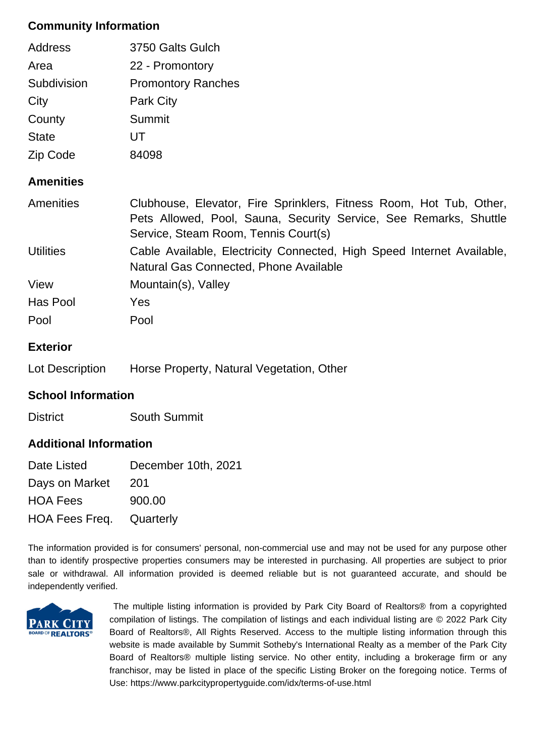# **Community Information**

| <b>Address</b> | 3750 Galts Gulch          |
|----------------|---------------------------|
| Area           | 22 - Promontory           |
| Subdivision    | <b>Promontory Ranches</b> |
| City           | <b>Park City</b>          |
| County         | Summit                    |
| <b>State</b>   | UT                        |
| Zip Code       | 84098                     |

# **Amenities**

| Amenities        | Clubhouse, Elevator, Fire Sprinklers, Fitness Room, Hot Tub, Other,<br>Pets Allowed, Pool, Sauna, Security Service, See Remarks, Shuttle<br>Service, Steam Room, Tennis Court(s) |
|------------------|----------------------------------------------------------------------------------------------------------------------------------------------------------------------------------|
| <b>Utilities</b> | Cable Available, Electricity Connected, High Speed Internet Available,<br>Natural Gas Connected, Phone Available                                                                 |
| View             | Mountain(s), Valley                                                                                                                                                              |
| Has Pool         | Yes.                                                                                                                                                                             |
| Pool             | Pool                                                                                                                                                                             |

# **Exterior**

Lot Description Horse Property, Natural Vegetation, Other

# **School Information**

District South Summit

# **Additional Information**

| Date Listed                     | December 10th, 2021 |
|---------------------------------|---------------------|
| Days on Market                  | 201                 |
| <b>HOA Fees</b>                 | 900.00              |
| <b>HOA Fees Freq.</b> Quarterly |                     |

The information provided is for consumers' personal, non-commercial use and may not be used for any purpose other than to identify prospective properties consumers may be interested in purchasing. All properties are subject to prior sale or withdrawal. All information provided is deemed reliable but is not guaranteed accurate, and should be independently verified.



 The multiple listing information is provided by Park City Board of Realtors® from a copyrighted compilation of listings. The compilation of listings and each individual listing are © 2022 Park City Board of Realtors®, All Rights Reserved. Access to the multiple listing information through this website is made available by Summit Sotheby's International Realty as a member of the Park City Board of Realtors® multiple listing service. No other entity, including a brokerage firm or any franchisor, may be listed in place of the specific Listing Broker on the foregoing notice. Terms of Use: https://www.parkcitypropertyguide.com/idx/terms-of-use.html